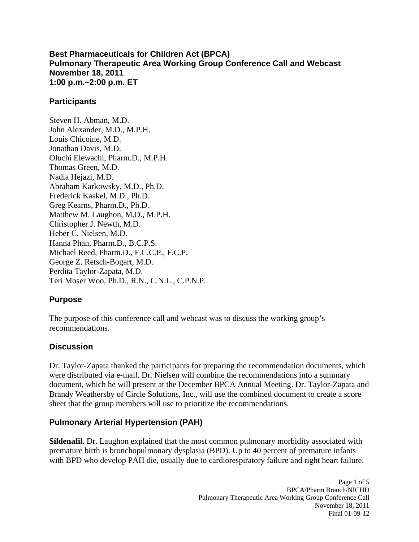**Best Pharmaceuticals for Children Act (BPCA) Pulmonary Therapeutic Area Working Group Conference Call and Webcast November 18, 2011 1:00 p.m.–2:00 p.m. ET** 

#### **Participants**

Steven H. Abman, M.D. John Alexander, M.D., M.P.H. Louis Chicoine, M.D. Jonathan Davis, M.D. Oluchi Elewachi, Pharm.D., M.P.H. Thomas Green, M.D. Nadia Hejazi, M.D. Abraham Karkowsky, M.D., Ph.D. Frederick Kaskel, M.D., Ph.D. Greg Kearns, Pharm.D., Ph.D. Matthew M. Laughon, M.D., M.P.H. Christopher J. Newth, M.D. Heber C. Nielsen, M.D. Hanna Phan, Pharm.D., B.C.P.S. Michael Reed, Pharm.D., F.C.C.P., F.C.P. George Z. Retsch-Bogart, M.D. Perdita Taylor-Zapata, M.D. Teri Moser Woo, Ph.D., R.N., C.N.L., C.P.N.P.

### **Purpose**

The purpose of this conference call and webcast was to discuss the working group's recommendations.

### **Discussion**

Dr. Taylor-Zapata thanked the participants for preparing the recommendation documents, which were distributed via e-mail. Dr. Nielsen will combine the recommendations into a summary document, which he will present at the December BPCA Annual Meeting. Dr. Taylor-Zapata and Brandy Weathersby of Circle Solutions, Inc., will use the combined document to create a score sheet that the group members will use to prioritize the recommendations.

# **Pulmonary Arterial Hypertension (PAH)**

**Sildenafil.** Dr. Laughon explained that the most common pulmonary morbidity associated with premature birth is bronchopulmonary dysplasia (BPD). Up to 40 percent of premature infants with BPD who develop PAH die, usually due to cardiorespiratory failure and right heart failure.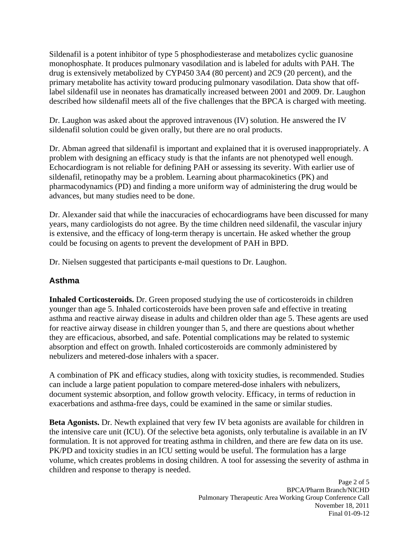Sildenafil is a potent inhibitor of type 5 phosphodiesterase and metabolizes cyclic guanosine monophosphate. It produces pulmonary vasodilation and is labeled for adults with PAH. The drug is extensively metabolized by CYP450 3A4 (80 percent) and 2C9 (20 percent), and the primary metabolite has activity toward producing pulmonary vasodilation. Data show that offlabel sildenafil use in neonates has dramatically increased between 2001 and 2009. Dr. Laughon described how sildenafil meets all of the five challenges that the BPCA is charged with meeting.

Dr. Laughon was asked about the approved intravenous (IV) solution. He answered the IV sildenafil solution could be given orally, but there are no oral products.

Dr. Abman agreed that sildenafil is important and explained that it is overused inappropriately. A problem with designing an efficacy study is that the infants are not phenotyped well enough. Echocardiogram is not reliable for defining PAH or assessing its severity. With earlier use of sildenafil, retinopathy may be a problem. Learning about pharmacokinetics (PK) and pharmacodynamics (PD) and finding a more uniform way of administering the drug would be advances, but many studies need to be done.

Dr. Alexander said that while the inaccuracies of echocardiograms have been discussed for many years, many cardiologists do not agree. By the time children need sildenafil, the vascular injury is extensive, and the efficacy of long-term therapy is uncertain. He asked whether the group could be focusing on agents to prevent the development of PAH in BPD.

Dr. Nielsen suggested that participants e-mail questions to Dr. Laughon.

### **Asthma**

**Inhaled Corticosteroids.** Dr. Green proposed studying the use of corticosteroids in children younger than age 5. Inhaled corticosteroids have been proven safe and effective in treating asthma and reactive airway disease in adults and children older than age 5. These agents are used for reactive airway disease in children younger than 5, and there are questions about whether they are efficacious, absorbed, and safe. Potential complications may be related to systemic absorption and effect on growth. Inhaled corticosteroids are commonly administered by nebulizers and metered-dose inhalers with a spacer.

A combination of PK and efficacy studies, along with toxicity studies, is recommended. Studies can include a large patient population to compare metered-dose inhalers with nebulizers, document systemic absorption, and follow growth velocity. Efficacy, in terms of reduction in exacerbations and asthma-free days, could be examined in the same or similar studies.

**Beta Agonists.** Dr. Newth explained that very few IV beta agonists are available for children in the intensive care unit (ICU). Of the selective beta agonists, only terbutaline is available in an IV formulation. It is not approved for treating asthma in children, and there are few data on its use. PK/PD and toxicity studies in an ICU setting would be useful. The formulation has a large volume, which creates problems in dosing children. A tool for assessing the severity of asthma in children and response to therapy is needed.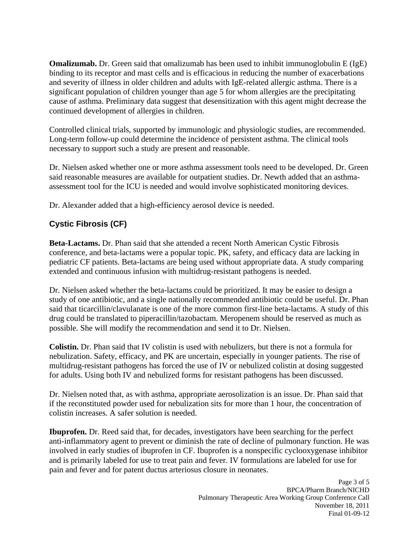**Omalizumab.** Dr. Green said that omalizumab has been used to inhibit immunoglobulin E (IgE) binding to its receptor and mast cells and is efficacious in reducing the number of exacerbations and severity of illness in older children and adults with IgE-related allergic asthma. There is a significant population of children younger than age 5 for whom allergies are the precipitating cause of asthma. Preliminary data suggest that desensitization with this agent might decrease the continued development of allergies in children.

Controlled clinical trials, supported by immunologic and physiologic studies, are recommended. Long-term follow-up could determine the incidence of persistent asthma. The clinical tools necessary to support such a study are present and reasonable.

Dr. Nielsen asked whether one or more asthma assessment tools need to be developed. Dr. Green said reasonable measures are available for outpatient studies. Dr. Newth added that an asthmaassessment tool for the ICU is needed and would involve sophisticated monitoring devices.

Dr. Alexander added that a high-efficiency aerosol device is needed.

# **Cystic Fibrosis (CF)**

**Beta-Lactams.** Dr. Phan said that she attended a recent North American Cystic Fibrosis conference, and beta-lactams were a popular topic. PK, safety, and efficacy data are lacking in pediatric CF patients. Beta-lactams are being used without appropriate data. A study comparing extended and continuous infusion with multidrug-resistant pathogens is needed.

Dr. Nielsen asked whether the beta-lactams could be prioritized. It may be easier to design a study of one antibiotic, and a single nationally recommended antibiotic could be useful. Dr. Phan said that ticarcillin/clavulanate is one of the more common first-line beta-lactams. A study of this drug could be translated to piperacillin/tazobactam. Meropenem should be reserved as much as possible. She will modify the recommendation and send it to Dr. Nielsen.

**Colistin.** Dr. Phan said that IV colistin is used with nebulizers, but there is not a formula for nebulization. Safety, efficacy, and PK are uncertain, especially in younger patients. The rise of multidrug-resistant pathogens has forced the use of IV or nebulized colistin at dosing suggested for adults. Using both IV and nebulized forms for resistant pathogens has been discussed.

Dr. Nielsen noted that, as with asthma, appropriate aerosolization is an issue. Dr. Phan said that if the reconstituted powder used for nebulization sits for more than 1 hour, the concentration of colistin increases. A safer solution is needed.

**Ibuprofen.** Dr. Reed said that, for decades, investigators have been searching for the perfect anti-inflammatory agent to prevent or diminish the rate of decline of pulmonary function. He was involved in early studies of ibuprofen in CF. Ibuprofen is a nonspecific cyclooxygenase inhibitor and is primarily labeled for use to treat pain and fever. IV formulations are labeled for use for pain and fever and for patent ductus arteriosus closure in neonates.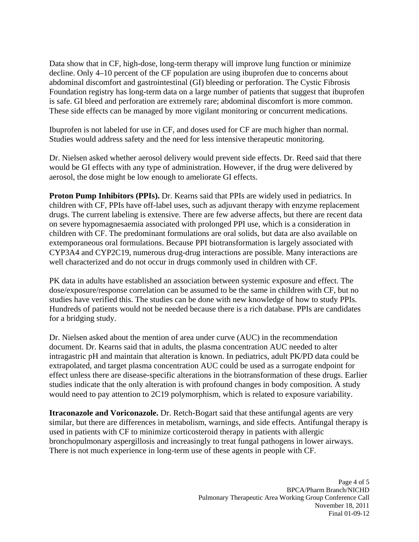Data show that in CF, high-dose, long-term therapy will improve lung function or minimize decline. Only 4–10 percent of the CF population are using ibuprofen due to concerns about abdominal discomfort and gastrointestinal (GI) bleeding or perforation. The Cystic Fibrosis Foundation registry has long-term data on a large number of patients that suggest that ibuprofen is safe. GI bleed and perforation are extremely rare; abdominal discomfort is more common. These side effects can be managed by more vigilant monitoring or concurrent medications.

Ibuprofen is not labeled for use in CF, and doses used for CF are much higher than normal. Studies would address safety and the need for less intensive therapeutic monitoring.

Dr. Nielsen asked whether aerosol delivery would prevent side effects. Dr. Reed said that there would be GI effects with any type of administration. However, if the drug were delivered by aerosol, the dose might be low enough to ameliorate GI effects.

**Proton Pump Inhibitors (PPIs).** Dr. Kearns said that PPIs are widely used in pediatrics. In children with CF, PPIs have off-label uses, such as adjuvant therapy with enzyme replacement drugs. The current labeling is extensive. There are few adverse affects, but there are recent data on severe hypomagnesaemia associated with prolonged PPI use, which is a consideration in children with CF. The predominant formulations are oral solids, but data are also available on extemporaneous oral formulations. Because PPI biotransformation is largely associated with CYP3A4 and CYP2C19, numerous drug-drug interactions are possible. Many interactions are well characterized and do not occur in drugs commonly used in children with CF.

PK data in adults have established an association between systemic exposure and effect. The dose/exposure/response correlation can be assumed to be the same in children with CF, but no studies have verified this. The studies can be done with new knowledge of how to study PPIs. Hundreds of patients would not be needed because there is a rich database. PPIs are candidates for a bridging study.

Dr. Nielsen asked about the mention of area under curve (AUC) in the recommendation document. Dr. Kearns said that in adults, the plasma concentration AUC needed to alter intragastric pH and maintain that alteration is known. In pediatrics, adult PK/PD data could be extrapolated, and target plasma concentration AUC could be used as a surrogate endpoint for effect unless there are disease-specific alterations in the biotransformation of these drugs. Earlier studies indicate that the only alteration is with profound changes in body composition. A study would need to pay attention to 2C19 polymorphism, which is related to exposure variability.

**Itraconazole and Voriconazole.** Dr. Retch-Bogart said that these antifungal agents are very similar, but there are differences in metabolism, warnings, and side effects. Antifungal therapy is used in patients with CF to minimize corticosteroid therapy in patients with allergic bronchopulmonary aspergillosis and increasingly to treat fungal pathogens in lower airways. There is not much experience in long-term use of these agents in people with CF.